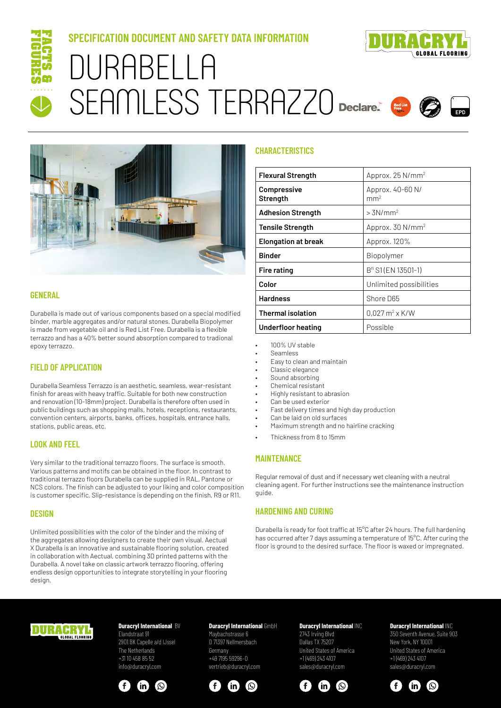

# **SPECIFICATION DOCUMENT AND SAFETY DATA INFORMATION** DURABELLA SEAMLESS TERRAZZO Declare.





## **GENERAL**

Durabella is made out of various components based on a special modified binder, marble aggregates and/or natural stones. Durabella Biopolymer is made from vegetable oil and is Red List Free. Durabella is a flexible terrazzo and has a 40% better sound absorption compared to tradional epoxy terrazzo.

## **FIELD OF APPLICATION**

Durabella Seamless Terrazzo is an aesthetic, seamless, wear-resistant finish for areas with heavy traffic. Suitable for both new construction and renovation (10-18mm) project. Durabella is therefore often used in public buildings such as shopping malls, hotels, receptions, restaurants, convention centers, airports, banks, offices, hospitals, entrance halls, stations, public areas, etc.

## **LOOK AND FEEL**

Very similar to the traditional terrazzo floors. The surface is smooth. Various patterns and motifs can be obtained in the floor. In contrast to traditional terrazzo floors Durabella can be supplied in RAL, Pantone or NCS colors. The finish can be adjusted to your liking and color composition is customer specific. Slip-resistance is depending on the finish, R9 or R11.

## **DESIGN**

Unlimited possibilities with the color of the binder and the mixing of the aggregates allowing designers to create their own visual. Aectual X Durabella is an innovative and sustainable flooring solution, created in collaboration with Aectual, combining 3D printed patterns with the Durabella. A novel take on classic artwork terrazzo flooring, offering endless design opportunities to integrate storytelling in your flooring design.

## **CHARACTERISTICS**

| <b>Flexural Strength</b>       | Approx. 25 N/mm <sup>2</sup>               |
|--------------------------------|--------------------------------------------|
| <b>Compressive</b><br>Strength | Approx. 40-60 N/<br>mm <sup>2</sup>        |
| <b>Adhesion Strength</b>       | $>3N/mm^2$                                 |
| <b>Tensile Strength</b>        | Approx. $30 N/mm^2$                        |
| <b>Elongation at break</b>     | Approx. 120%                               |
| <b>Binder</b>                  | Biopolymer                                 |
| Fire rating                    | B <sup>fl</sup> S1 (EN 13501-1)            |
| Color                          | Unlimited possibilities                    |
| <b>Hardness</b>                | Shore D65                                  |
| <b>Thermal isolation</b>       | $0.027 \,\mathrm{m}^2 \times \mathrm{K/W}$ |
| Underfloor heating             | Possible                                   |

- 100% UV stable
- Seamless
- Easy to clean and maintain
- Classic elegance
- Sound absorbing
- Chemical resistant
- Highly resistant to abrasion • Can be used exterior
- 
- Fast delivery times and high day production Can be laid on old surfaces
- Maximum strength and no hairline cracking
- Thickness from 8 to 15mm

#### **MAINTENANCE**

Regular removal of dust and if necessary wet cleaning with a neutral cleaning agent. For further instructions see the maintenance instruction guide.

#### **HARDENING AND CURING**

Durabella is ready for foot traffic at 15°C after 24 hours. The full hardening has occurred after 7 days assuming a temperature of 15°C. After curing the floor is ground to the desired surface. The floor is waxed or impregnated.



# **Duracryl International BV**

Elandstraat 91 2901 BK Capelle a/d IJssel The Netherlands +31 10 458 85 52 info@duracryl.com



## **Duracryl International GmbH**

Maybachstrasse 6 D 71397 Nellmersbach Germany +49 7195 59296–0 vertrieb@duracryl.com



#### **Duracryl International** INC 2743 Irving Blvd Dallas TX 75207 United States of America +1 (469) 243 4107



 $\mathbf{m}$ 

 $\left( \odot \right)$ 

 $\mathbf{f}$ 



350 Seventh Avenue, Suite 903 New York, NY 10001 United States of America +1 (469) 243 4107 sales@duracryl.com